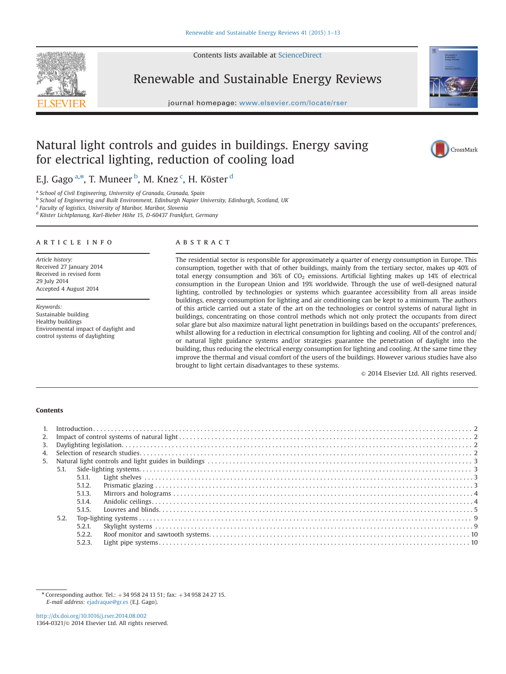Contents lists available at [ScienceDirect](www.sciencedirect.com/science/journal/13640321)



Renewable and Sustainable Energy Reviews

journal homepage: <www.elsevier.com/locate/rser>vice/ $\mathcal{N}$ 



# Natural light controls and guides in buildings. Energy saving for electrical lighting, reduction of cooling load



E.J. Gago <sup>a,\*</sup>, T. Muneer <sup>b</sup>, M. Knez <sup>c</sup>, H. Köster <sup>d</sup>

<sup>a</sup> School of Civil Engineering, University of Granada, Granada, Spain

b School of Engineering and Built Environment, Edinburgh Napier University, Edinburgh, Scotland, UK

<sup>c</sup> Faculty of logistics, University of Maribor, Maribor, Slovenia

<sup>d</sup> Köster Lichtplanung, Karl-Bieber Höhe 15, D-60437 Frankfurt, Germany

## article info

Article history: Received 27 January 2014 Received in revised form 29 July 2014 Accepted 4 August 2014

Keywords: Sustainable building Healthy buildings Environmental impact of daylight and control systems of daylighting

## ABSTRACT

The residential sector is responsible for approximately a quarter of energy consumption in Europe. This consumption, together with that of other buildings, mainly from the tertiary sector, makes up 40% of total energy consumption and 36% of  $CO<sub>2</sub>$  emissions. Artificial lighting makes up 14% of electrical consumption in the European Union and 19% worldwide. Through the use of well-designed natural lighting, controlled by technologies or systems which guarantee accessibility from all areas inside buildings, energy consumption for lighting and air conditioning can be kept to a minimum. The authors of this article carried out a state of the art on the technologies or control systems of natural light in buildings, concentrating on those control methods which not only protect the occupants from direct solar glare but also maximize natural light penetration in buildings based on the occupants' preferences, whilst allowing for a reduction in electrical consumption for lighting and cooling. All of the control and/ or natural light guidance systems and/or strategies guarantee the penetration of daylight into the building, thus reducing the electrical energy consumption for lighting and cooling. At the same time they improve the thermal and visual comfort of the users of the buildings. However various studies have also brought to light certain disadvantages to these systems.

 $\odot$  2014 Elsevier Ltd. All rights reserved.

# Contents

|      |  | 5.1.1. |  |  |  |
|------|--|--------|--|--|--|
|      |  | 5.1.2. |  |  |  |
|      |  | 5.1.3. |  |  |  |
|      |  | 5.1.4. |  |  |  |
|      |  | 5.1.5  |  |  |  |
| 5.2. |  |        |  |  |  |
|      |  | 5.2.1. |  |  |  |
|      |  | 5.2.2. |  |  |  |
|      |  | 5.2.3. |  |  |  |

\* Corresponding author. Tel.:  $+34$  958 24 13 51; fax:  $+34$  958 24 27 15. E-mail address: [ejadraque@gr.es](mailto:ejadraque@gr.es) (E.J. Gago).

<http://dx.doi.org/10.1016/j.rser.2014.08.002> 1364-0321/© 2014 Elsevier Ltd. All rights reserved.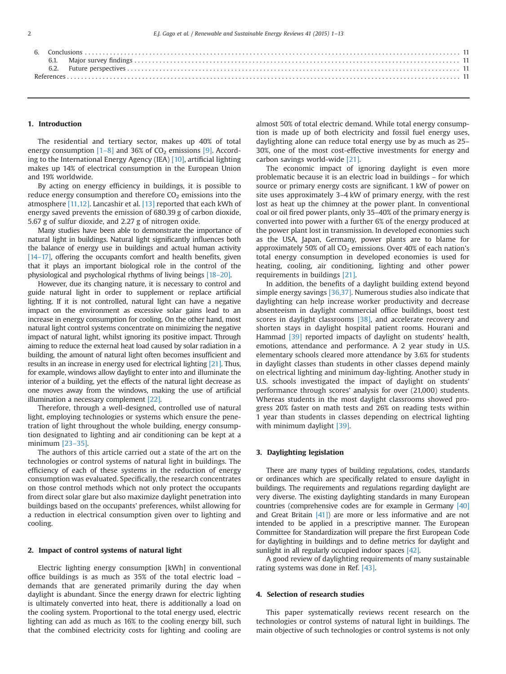## 1. Introduction

The residential and tertiary sector, makes up 40% of total energy consumption  $[1-8]$  $[1-8]$  and 36% of CO<sub>2</sub> emissions [\[9\].](#page-10-0) According to the International Energy Agency (IEA) [\[10\],](#page-10-0) artificial lighting makes up 14% of electrical consumption in the European Union and 19% worldwide.

By acting on energy efficiency in buildings, it is possible to reduce energy consumption and therefore  $CO<sub>2</sub>$  emissions into the atmosphere [\[11,12\]](#page-10-0). Lancashir et al. [\[13\]](#page-10-0) reported that each kWh of energy saved prevents the emission of 680.39 g of carbon dioxide, 5.67 g of sulfur dioxide, and 2.27 g of nitrogen oxide.

Many studies have been able to demonstrate the importance of natural light in buildings. Natural light significantly influences both the balance of energy use in buildings and actual human activity [14–[17\],](#page-10-0) offering the occupants comfort and health benefits, given that it plays an important biological role in the control of the physiological and psychological rhythms of living beings [18–[20\]](#page-10-0).

However, due its changing nature, it is necessary to control and guide natural light in order to supplement or replace artificial lighting. If it is not controlled, natural light can have a negative impact on the environment as excessive solar gains lead to an increase in energy consumption for cooling. On the other hand, most natural light control systems concentrate on minimizing the negative impact of natural light, whilst ignoring its positive impact. Through aiming to reduce the external heat load caused by solar radiation in a building, the amount of natural light often becomes insufficient and results in an increase in energy used for electrical lighting [\[21\]](#page-10-0). Thus, for example, windows allow daylight to enter into and illuminate the interior of a building, yet the effects of the natural light decrease as one moves away from the windows, making the use of artificial illumination a necessary complement [\[22\].](#page-11-0)

Therefore, through a well-designed, controlled use of natural light, employing technologies or systems which ensure the penetration of light throughout the whole building, energy consumption designated to lighting and air conditioning can be kept at a minimum [23–[35\].](#page-11-0)

The authors of this article carried out a state of the art on the technologies or control systems of natural light in buildings. The efficiency of each of these systems in the reduction of energy consumption was evaluated. Specifically, the research concentrates on those control methods which not only protect the occupants from direct solar glare but also maximize daylight penetration into buildings based on the occupants' preferences, whilst allowing for a reduction in electrical consumption given over to lighting and cooling.

## 2. Impact of control systems of natural light

Electric lighting energy consumption [kWh] in conventional office buildings is as much as 35% of the total electric load – demands that are generated primarily during the day when daylight is abundant. Since the energy drawn for electric lighting is ultimately converted into heat, there is additionally a load on the cooling system. Proportional to the total energy used, electric lighting can add as much as 16% to the cooling energy bill, such that the combined electricity costs for lighting and cooling are almost 50% of total electric demand. While total energy consumption is made up of both electricity and fossil fuel energy uses, daylighting alone can reduce total energy use by as much as 25– 30%, one of the most cost-effective investments for energy and carbon savings world-wide [\[21\]](#page-10-0).

The economic impact of ignoring daylight is even more problematic because it is an electric load in buildings – for which source or primary energy costs are significant. 1 kW of power on site uses approximately 3–4 kW of primary energy, with the rest lost as heat up the chimney at the power plant. In conventional coal or oil fired power plants, only 35–40% of the primary energy is converted into power with a further 6% of the energy produced at the power plant lost in transmission. In developed economies such as the USA, Japan, Germany, power plants are to blame for approximately 50% of all  $CO<sub>2</sub>$  emissions. Over 40% of each nation's total energy consumption in developed economies is used for heating, cooling, air conditioning, lighting and other power requirements in buildings [\[21\]](#page-10-0).

In addition, the benefits of a daylight building extend beyond simple energy savings [\[36,37\].](#page-11-0) Numerous studies also indicate that daylighting can help increase worker productivity and decrease absenteeism in daylight commercial office buildings, boost test scores in daylight classrooms [\[38\]](#page-11-0), and accelerate recovery and shorten stays in daylight hospital patient rooms. Hourani and Hammad [\[39\]](#page-11-0) reported impacts of daylight on students' health, emotions, attendance and performance. A 2 year study in U.S. elementary schools cleared more attendance by 3.6% for students in daylight classes than students in other classes depend mainly on electrical lighting and minimum day-lighting. Another study in U.S. schools investigated the impact of daylight on students' performance through scores' analysis for over (21,000) students. Whereas students in the most daylight classrooms showed progress 20% faster on math tests and 26% on reading tests within 1 year than students in classes depending on electrical lighting with minimum daylight [\[39\]](#page-11-0).

## 3. Daylighting legislation

There are many types of building regulations, codes, standards or ordinances which are specifically related to ensure daylight in buildings. The requirements and regulations regarding daylight are very diverse. The existing daylighting standards in many European countries (comprehensive codes are for example in Germany [\[40\]](#page-11-0) and Great Britain [\[41\]](#page-11-0)) are more or less informative and are not intended to be applied in a prescriptive manner. The European Committee for Standardization will prepare the first European Code for daylighting in buildings and to define metrics for daylight and sunlight in all regularly occupied indoor spaces [\[42\].](#page-11-0)

A good review of daylighting requirements of many sustainable rating systems was done in Ref. [\[43\]](#page-11-0).

#### 4. Selection of research studies

This paper systematically reviews recent research on the technologies or control systems of natural light in buildings. The main objective of such technologies or control systems is not only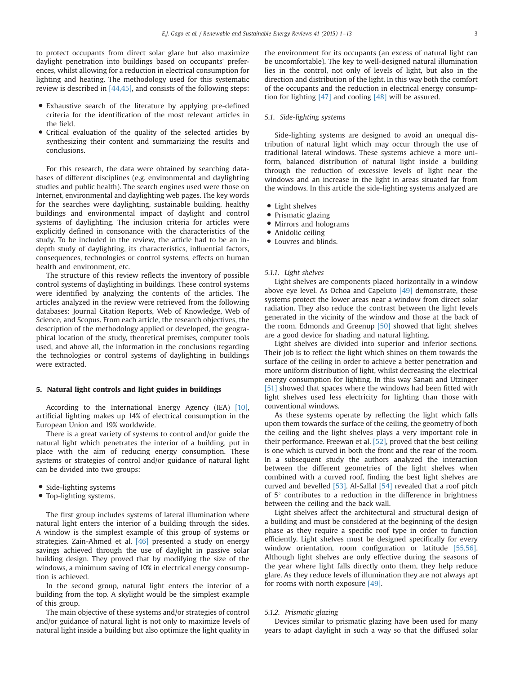to protect occupants from direct solar glare but also maximize daylight penetration into buildings based on occupants' preferences, whilst allowing for a reduction in electrical consumption for lighting and heating. The methodology used for this systematic review is described in [\[44,45\]](#page-11-0), and consists of the following steps:

- Exhaustive search of the literature by applying pre-defined criteria for the identification of the most relevant articles in the field.
- Critical evaluation of the quality of the selected articles by synthesizing their content and summarizing the results and conclusions.

For this research, the data were obtained by searching databases of different disciplines (e.g. environmental and daylighting studies and public health). The search engines used were those on Internet, environmental and daylighting web pages. The key words for the searches were daylighting, sustainable building, healthy buildings and environmental impact of daylight and control systems of daylighting. The inclusion criteria for articles were explicitly defined in consonance with the characteristics of the study. To be included in the review, the article had to be an indepth study of daylighting, its characteristics, influential factors, consequences, technologies or control systems, effects on human health and environment, etc.

The structure of this review reflects the inventory of possible control systems of daylighting in buildings. These control systems were identified by analyzing the contents of the articles. The articles analyzed in the review were retrieved from the following databases: Journal Citation Reports, Web of Knowledge, Web of Science, and Scopus. From each article, the research objectives, the description of the methodology applied or developed, the geographical location of the study, theoretical premises, computer tools used, and above all, the information in the conclusions regarding the technologies or control systems of daylighting in buildings were extracted.

#### 5. Natural light controls and light guides in buildings

According to the International Energy Agency (IEA) [\[10\],](#page-10-0) artificial lighting makes up 14% of electrical consumption in the European Union and 19% worldwide.

There is a great variety of systems to control and/or guide the natural light which penetrates the interior of a building, put in place with the aim of reducing energy consumption. These systems or strategies of control and/or guidance of natural light can be divided into two groups:

- Side-lighting systems
- Top-lighting systems.

The first group includes systems of lateral illumination where natural light enters the interior of a building through the sides. A window is the simplest example of this group of systems or strategies. Zain-Ahmed et al. [\[46\]](#page-11-0) presented a study on energy savings achieved through the use of daylight in passive solar building design. They proved that by modifying the size of the windows, a minimum saving of 10% in electrical energy consumption is achieved.

In the second group, natural light enters the interior of a building from the top. A skylight would be the simplest example of this group.

The main objective of these systems and/or strategies of control and/or guidance of natural light is not only to maximize levels of natural light inside a building but also optimize the light quality in

the environment for its occupants (an excess of natural light can be uncomfortable). The key to well-designed natural illumination lies in the control, not only of levels of light, but also in the direction and distribution of the light. In this way both the comfort of the occupants and the reduction in electrical energy consumption for lighting [\[47\]](#page-11-0) and cooling [\[48\]](#page-11-0) will be assured.

## 5.1. Side-lighting systems

Side-lighting systems are designed to avoid an unequal distribution of natural light which may occur through the use of traditional lateral windows. These systems achieve a more uniform, balanced distribution of natural light inside a building through the reduction of excessive levels of light near the windows and an increase in the light in areas situated far from the windows. In this article the side-lighting systems analyzed are

- Light shelves
- Prismatic glazing
- Mirrors and holograms
- Anidolic ceiling
- Louvres and blinds.

## 5.1.1. Light shelves

Light shelves are components placed horizontally in a window above eye level. As Ochoa and Capeluto [\[49\]](#page-11-0) demonstrate, these systems protect the lower areas near a window from direct solar radiation. They also reduce the contrast between the light levels generated in the vicinity of the window and those at the back of the room. Edmonds and Greenup [\[50\]](#page-11-0) showed that light shelves are a good device for shading and natural lighting.

Light shelves are divided into superior and inferior sections. Their job is to reflect the light which shines on them towards the surface of the ceiling in order to achieve a better penetration and more uniform distribution of light, whilst decreasing the electrical energy consumption for lighting. In this way Sanati and Utzinger [\[51\]](#page-11-0) showed that spaces where the windows had been fitted with light shelves used less electricity for lighting than those with conventional windows.

As these systems operate by reflecting the light which falls upon them towards the surface of the ceiling, the geometry of both the ceiling and the light shelves plays a very important role in their performance. Freewan et al. [\[52\],](#page-11-0) proved that the best ceiling is one which is curved in both the front and the rear of the room. In a subsequent study the authors analyzed the interaction between the different geometries of the light shelves when combined with a curved roof, finding the best light shelves are curved and bevelled [\[53\]](#page-11-0). Al-Sallal [\[54\]](#page-11-0) revealed that a roof pitch of  $5^\circ$  contributes to a reduction in the difference in brightness between the ceiling and the back wall.

Light shelves affect the architectural and structural design of a building and must be considered at the beginning of the design phase as they require a specific roof type in order to function efficiently. Light shelves must be designed specifically for every window orientation, room configuration or latitude [\[55,56\].](#page-11-0) Although light shelves are only effective during the seasons of the year where light falls directly onto them, they help reduce glare. As they reduce levels of illumination they are not always apt for rooms with north exposure [\[49\]](#page-11-0).

#### 5.1.2. Prismatic glazing

Devices similar to prismatic glazing have been used for many years to adapt daylight in such a way so that the diffused solar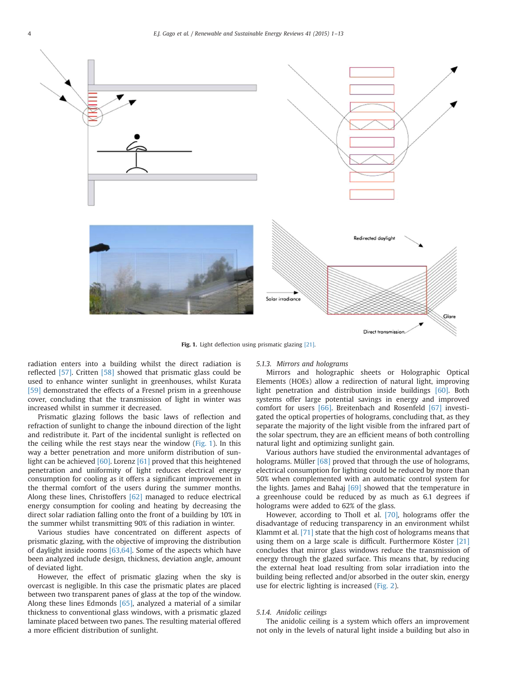

Fig. 1. Light deflection using prismatic glazing [\[21\]](#page-10-0).

radiation enters into a building whilst the direct radiation is reflected [\[57\]](#page-11-0). Critten [\[58\]](#page-11-0) showed that prismatic glass could be used to enhance winter sunlight in greenhouses, whilst Kurata [\[59\]](#page-11-0) demonstrated the effects of a Fresnel prism in a greenhouse cover, concluding that the transmission of light in winter was increased whilst in summer it decreased.

Prismatic glazing follows the basic laws of reflection and refraction of sunlight to change the inbound direction of the light and redistribute it. Part of the incidental sunlight is reflected on the ceiling while the rest stays near the window (Fig. 1). In this way a better penetration and more uniform distribution of sunlight can be achieved [\[60\].](#page-11-0) Lorenz [\[61\]](#page-11-0) proved that this heightened penetration and uniformity of light reduces electrical energy consumption for cooling as it offers a significant improvement in the thermal comfort of the users during the summer months. Along these lines, Christoffers [\[62\]](#page-11-0) managed to reduce electrical energy consumption for cooling and heating by decreasing the direct solar radiation falling onto the front of a building by 10% in the summer whilst transmitting 90% of this radiation in winter.

Various studies have concentrated on different aspects of prismatic glazing, with the objective of improving the distribution of daylight inside rooms [\[63,64\].](#page-11-0) Some of the aspects which have been analyzed include design, thickness, deviation angle, amount of deviated light.

However, the effect of prismatic glazing when the sky is overcast is negligible. In this case the prismatic plates are placed between two transparent panes of glass at the top of the window. Along these lines Edmonds [\[65\]](#page-11-0), analyzed a material of a similar thickness to conventional glass windows, with a prismatic glazed laminate placed between two panes. The resulting material offered a more efficient distribution of sunlight.

#### 5.1.3. Mirrors and holograms

Mirrors and holographic sheets or Holographic Optical Elements (HOEs) allow a redirection of natural light, improving light penetration and distribution inside buildings [\[60\].](#page-11-0) Both systems offer large potential savings in energy and improved comfort for users [\[66\]](#page-11-0). Breitenbach and Rosenfeld [\[67\]](#page-11-0) investigated the optical properties of holograms, concluding that, as they separate the majority of the light visible from the infrared part of the solar spectrum, they are an efficient means of both controlling natural light and optimizing sunlight gain.

Various authors have studied the environmental advantages of holograms. Müller [\[68\]](#page-11-0) proved that through the use of holograms, electrical consumption for lighting could be reduced by more than 50% when complemented with an automatic control system for the lights. James and Bahaj [\[69\]](#page-11-0) showed that the temperature in a greenhouse could be reduced by as much as 6.1 degrees if holograms were added to 62% of the glass.

However, according to Tholl et al. [\[70\]](#page-11-0), holograms offer the disadvantage of reducing transparency in an environment whilst Klammt et al. [\[71\]](#page-11-0) state that the high cost of holograms means that using them on a large scale is difficult. Furthermore Köster [\[21\]](#page-10-0) concludes that mirror glass windows reduce the transmission of energy through the glazed surface. This means that, by reducing the external heat load resulting from solar irradiation into the building being reflected and/or absorbed in the outer skin, energy use for electric lighting is increased ([Fig. 2](#page-4-0)).

#### 5.1.4. Anidolic ceilings

The anidolic ceiling is a system which offers an improvement not only in the levels of natural light inside a building but also in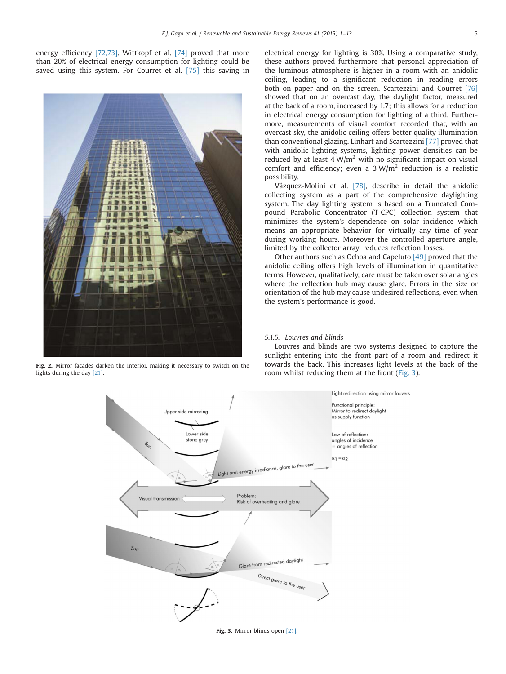<span id="page-4-0"></span>energy efficiency [\[72,73\].](#page-11-0) Wittkopf et al. [\[74\]](#page-11-0) proved that more than 20% of electrical energy consumption for lighting could be saved using this system. For Courret et al. [\[75\]](#page-11-0) this saving in



Fig. 2. Mirror facades darken the interior, making it necessary to switch on the lights during the day [\[21\]](#page-10-0).

electrical energy for lighting is 30%. Using a comparative study, these authors proved furthermore that personal appreciation of the luminous atmosphere is higher in a room with an anidolic ceiling, leading to a significant reduction in reading errors both on paper and on the screen. Scartezzini and Courret [\[76\]](#page-11-0) showed that on an overcast day, the daylight factor, measured at the back of a room, increased by 1.7; this allows for a reduction in electrical energy consumption for lighting of a third. Furthermore, measurements of visual comfort recorded that, with an overcast sky, the anidolic ceiling offers better quality illumination than conventional glazing. Linhart and Scartezzini [\[77\]](#page-11-0) proved that with anidolic lighting systems, lighting power densities can be reduced by at least  $4 W/m^2$  with no significant impact on visual comfort and efficiency; even a  $3 W/m<sup>2</sup>$  reduction is a realistic possibility.

Vázquez-Moliní et al. [\[78\],](#page-11-0) describe in detail the anidolic collecting system as a part of the comprehensive daylighting system. The day lighting system is based on a Truncated Compound Parabolic Concentrator (T-CPC) collection system that minimizes the system's dependence on solar incidence which means an appropriate behavior for virtually any time of year during working hours. Moreover the controlled aperture angle, limited by the collector array, reduces reflection losses.

Other authors such as Ochoa and Capeluto [\[49\]](#page-11-0) proved that the anidolic ceiling offers high levels of illumination in quantitative terms. However, qualitatively, care must be taken over solar angles where the reflection hub may cause glare. Errors in the size or orientation of the hub may cause undesired reflections, even when the system's performance is good.

#### 5.1.5. Louvres and blinds

Louvres and blinds are two systems designed to capture the sunlight entering into the front part of a room and redirect it towards the back. This increases light levels at the back of the room whilst reducing them at the front (Fig. 3).

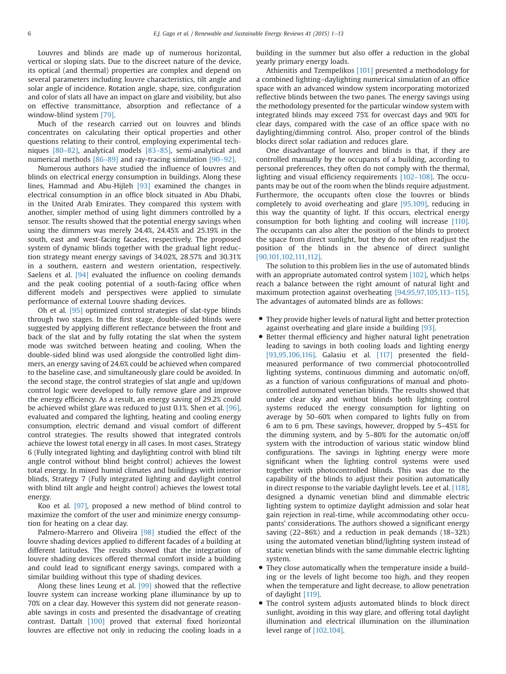Louvres and blinds are made up of numerous horizontal, vertical or sloping slats. Due to the discreet nature of the device, its optical (and thermal) properties are complex and depend on several parameters including louvre characteristics, tilt angle and solar angle of incidence. Rotation angle, shape, size, configuration and color of slats all have an impact on glare and visibility, but also on effective transmittance, absorption and reflectance of a window-blind system [\[79\]](#page-11-0).

Much of the research carried out on louvres and blinds concentrates on calculating their optical properties and other questions relating to their control, employing experimental techniques [80–[82\],](#page-11-0) analytical models [83–[85\],](#page-11-0) semi-analytical and numerical methods [86–[89\]](#page-11-0) and ray-tracing simulation [90–[92\].](#page-12-0)

Numerous authors have studied the influence of louvres and blinds on electrical energy consumption in buildings. Along these lines, Hammad and Abu-Hijleh [\[93\]](#page-12-0) examined the changes in electrical consumption in an office block situated in Abu Dhabi, in the United Arab Emirates. They compared this system with another, simpler method of using light dimmers controlled by a sensor. The results showed that the potential energy savings when using the dimmers was merely 24.4%, 24.45% and 25.19% in the south, east and west-facing facades, respectively. The proposed system of dynamic blinds together with the gradual light reduction strategy meant energy savings of 34.02%, 28.57% and 30.31% in a southern, eastern and western orientation, respectively. Saelens et al. [\[94\]](#page-12-0) evaluated the influence on cooling demands and the peak cooling potential of a south-facing office when different models and perspectives were applied to simulate performance of external Louvre shading devices.

Oh et al. [\[95\]](#page-12-0) optimized control strategies of slat-type blinds through two stages. In the first stage, double-sided blinds were suggested by applying different reflectance between the front and back of the slat and by fully rotating the slat when the system mode was switched between heating and cooling. When the double-sided blind was used alongside the controlled light dimmers, an energy saving of 24.6% could be achieved when compared to the baseline case, and simultaneously glare could be avoided. In the second stage, the control strategies of slat angle and up/down control logic were developed to fully remove glare and improve the energy efficiency. As a result, an energy saving of 29.2% could be achieved whilst glare was reduced to just 0.1%. Shen et al. [\[96\],](#page-12-0) evaluated and compared the lighting, heating and cooling energy consumption, electric demand and visual comfort of different control strategies. The results showed that integrated controls achieve the lowest total energy in all cases. In most cases, Strategy 6 (Fully integrated lighting and daylighting control with blind tilt angle control without blind height control) achieves the lowest total energy. In mixed humid climates and buildings with interior blinds, Strategy 7 (Fully integrated lighting and daylight control with blind tilt angle and height control) achieves the lowest total energy.

Koo et al. [\[97\],](#page-12-0) proposed a new method of blind control to maximize the comfort of the user and minimize energy consumption for heating on a clear day.

Palmero-Marrero and Oliveira [\[98\]](#page-12-0) studied the effect of the louvre shading devices applied to different facades of a building at different latitudes. The results showed that the integration of louvre shading devices offered thermal comfort inside a building and could lead to significant energy savings, compared with a similar building without this type of shading devices.

Along these lines Leung et al. [\[99\]](#page-12-0) showed that the reflective louvre system can increase working plane illuminance by up to 70% on a clear day. However this system did not generate reasonable savings in costs and presented the disadvantage of creating contrast. DattaIt [\[100\]](#page-12-0) proved that external fixed horizontal louvres are effective not only in reducing the cooling loads in a building in the summer but also offer a reduction in the global yearly primary energy loads.

Athienitis and Tzempelikos [\[101\]](#page-12-0) presented a methodology for a combined lighting–daylighting numerical simulation of an office space with an advanced window system incorporating motorized reflective blinds between the two panes. The energy savings using the methodology presented for the particular window system with integrated blinds may exceed 75% for overcast days and 90% for clear days, compared with the case of an office space with no daylighting/dimming control. Also, proper control of the blinds blocks direct solar radiation and reduces glare.

One disadvantage of louvres and blinds is that, if they are controlled manually by the occupants of a building, according to personal preferences, they often do not comply with the thermal, lighting and visual efficiency requirements [\[102](#page-12-0)–108]. The occupants may be out of the room when the blinds require adjustment. Furthermore, the occupants often close the louvres or blinds completely to avoid overheating and glare [\[95,109\],](#page-12-0) reducing in this way the quantity of light. If this occurs, electrical energy consumption for both lighting and cooling will increase [\[110\].](#page-12-0) The occupants can also alter the position of the blinds to protect the space from direct sunlight, but they do not often readjust the position of the blinds in the absence of direct sunlight [\[90,101,102,111,112\]](#page-12-0).

The solution to this problem lies in the use of automated blinds with an appropriate automated control system [\[102\]](#page-12-0), which helps reach a balance between the right amount of natural light and maximum protection against overheating [\[94,95,97,105,113](#page-12-0)–115]. The advantages of automated blinds are as follows:

- They provide higher levels of natural light and better protection against overheating and glare inside a building [\[93\].](#page-12-0)
- Better thermal efficiency and higher natural light penetration leading to savings in both cooling loads and lighting energy [\[93,95,106,116\].](#page-12-0) Galasiu et al. [\[117\]](#page-12-0) presented the fieldmeasured performance of two commercial photocontrolled lighting systems, continuous dimming and automatic on/off, as a function of various configurations of manual and photocontrolled automated venetian blinds. The results showed that under clear sky and without blinds both lighting control systems reduced the energy consumption for lighting on average by 50–60% when compared to lights fully on from 6 am to 6 pm. These savings, however, dropped by 5–45% for the dimming system, and by 5–80% for the automatic on/off system with the introduction of various static window blind configurations. The savings in lighting energy were more significant when the lighting control systems were used together with photocontrolled blinds. This was due to the capability of the blinds to adjust their position automatically in direct response to the variable daylight levels. Lee et al. [\[118\],](#page-12-0) designed a dynamic venetian blind and dimmable electric lighting system to optimize daylight admission and solar heat gain rejection in real-time, while accommodating other occupants' considerations. The authors showed a significant energy saving (22–86%) and a reduction in peak demands (18–32%) using the automated venetian blind/lighting system instead of static venetian blinds with the same dimmable electric lighting system.
- They close automatically when the temperature inside a building or the levels of light become too high, and they reopen when the temperature and light decrease, to allow penetration of daylight [\[119\]](#page-12-0).
- The control system adjusts automated blinds to block direct sunlight, avoiding in this way glare, and offering total daylight illumination and electrical illumination on the illumination level range of [\[102,104\].](#page-12-0)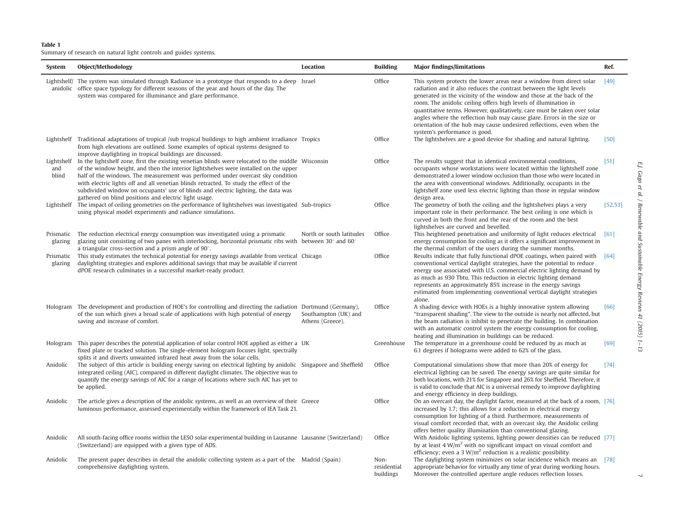#### <span id="page-6-0"></span>Table 1

Summary of research on natural light controls and guides systems.

| System                     | Object/Methodology                                                                                                                                                                                                                                                                                                                                                                                                                                                                                                   | Location                                 | <b>Building</b>                  | <b>Major findings/limitations</b>                                                                                                                                                                                                                                                                                                                                                                                                                                                                                                                        | Ref.     |
|----------------------------|----------------------------------------------------------------------------------------------------------------------------------------------------------------------------------------------------------------------------------------------------------------------------------------------------------------------------------------------------------------------------------------------------------------------------------------------------------------------------------------------------------------------|------------------------------------------|----------------------------------|----------------------------------------------------------------------------------------------------------------------------------------------------------------------------------------------------------------------------------------------------------------------------------------------------------------------------------------------------------------------------------------------------------------------------------------------------------------------------------------------------------------------------------------------------------|----------|
|                            | Lightshelf The system was simulated through Radiance in a prototype that responds to a deep Israel<br>anidolic office space typology for different seasons of the year and hours of the day. The<br>system was compared for illuminance and glare performance.                                                                                                                                                                                                                                                       |                                          | Office                           | This system protects the lower areas near a window from direct solar<br>radiation and it also reduces the contrast between the light levels<br>generated in the vicinity of the window and those at the back of the<br>room. The anidolic ceiling offers high levels of illumination in<br>quantitative terms. However, qualitatively, care must be taken over solar<br>angles where the reflection hub may cause glare. Errors in the size or<br>orientation of the hub may cause undesired reflections, even when the<br>system's performance is good. | $[49]$   |
| Lightshelf                 | Traditional adaptations of tropical /sub tropical buildings to high ambient irradiance Tropics<br>from high elevations are outlined. Some examples of optical systems designed to<br>improve daylighting in tropical buildings are discussed.                                                                                                                                                                                                                                                                        |                                          | Office                           | The lightshelves are a good device for shading and natural lighting.                                                                                                                                                                                                                                                                                                                                                                                                                                                                                     | $[50]$   |
| Lightshelf<br>and<br>blind | In the lightshelf zone, first the existing venetian blinds were relocated to the middle Wisconsin<br>of the window height, and then the interior lightshelves were installed on the upper<br>half of the windows. The measurement was performed under overcast sky condition<br>with electric lights off and all venetian blinds retracted. To study the effect of the<br>subdivided window on occupants' use of blinds and electric lighting, the data was<br>gathered on blind positions and electric light usage. |                                          | Office                           | The results suggest that in identical environmental conditions,<br>occupants whose workstations were located within the lightshelf zone<br>demonstrated a lower window occlusion than those who were located in<br>the area with conventional windows. Additionally, occupants in the<br>lightshelf zone used less electric lighting than those in regular window<br>design area.                                                                                                                                                                        | $[51]$   |
| Lightshelf                 | The impact of ceiling geometries on the performance of lightshelves was investigated Sub-tropics<br>using physical model experiments and radiance simulations.                                                                                                                                                                                                                                                                                                                                                       |                                          | Office                           | The geometry of both the ceiling and the lightshelves plays a very<br>important role in their performance. The best ceiling is one which is<br>curved in both the front and the rear of the room and the best<br>lightshelves are curved and bevelled.                                                                                                                                                                                                                                                                                                   | [52, 53] |
| glazing                    | Prismatic The reduction electrical energy consumption was investigated using a prismatic<br>glazing unit consisting of two panes with interlocking, horizontal prismatic ribs with between 30° and 60°<br>a triangular cross-section and a prism angle of $90^\circ$ .                                                                                                                                                                                                                                               | North or south latitudes                 | Office                           | This heightened penetration and uniformity of light reduces electrical<br>energy consumption for cooling as it offers a significant improvement in<br>the thermal comfort of the users during the summer months.                                                                                                                                                                                                                                                                                                                                         | [61]     |
| Prismatic<br>glazing       | This study estimates the technical potential for energy savings available from vertical Chicago<br>daylighting strategies and explores additional savings that may be available if current<br>dPOE research culminates in a successful market-ready product.                                                                                                                                                                                                                                                         |                                          | Office                           | Results indicate that fully functional dPOE coatings, when paired with<br>conventional vertical daylight strategies, have the potential to reduce<br>energy use associated with U.S. commercial electric lighting demand by<br>as much as 930 Tbtu. This reduction in electric lighting demand<br>represents an approximately 85% increase in the energy savings<br>estimated from implementing conventional vertical daylight strategies<br>alone.                                                                                                      | [64]     |
|                            | Hologram The development and production of HOE's for controlling and directing the radiation Dortmund (Germany),<br>of the sun which gives a broad scale of applications with high potential of energy<br>saving and increase of comfort.                                                                                                                                                                                                                                                                            | Southampton (UK) and<br>Athens (Greece). | Office                           | A shading device with HOEs is a highly innovative system allowing<br>"transparent shading". The view to the outside is nearly not affected, but<br>the beam radiation is inhibit to penetrate the building. In combination<br>with an automatic control system the energy consumption for cooling,<br>heating and illumination in buildings can be reduced.                                                                                                                                                                                              | [66]     |
| Hologram                   | This paper describes the potential application of solar control HOE applied as either a UK<br>fixed plate or tracked solution. The single-element hologram focuses light, spectrally<br>splits it and diverts unwanted infrared heat away from the solar cells.                                                                                                                                                                                                                                                      |                                          | Greenhouse                       | The temperature in a greenhouse could be reduced by as much as<br>6.1 degrees if holograms were added to 62% of the glass.                                                                                                                                                                                                                                                                                                                                                                                                                               | [69]     |
| Anidolic                   | The subject of this article is building energy saving on electrical lighting by anidolic Singapore and Sheffield<br>integrated ceiling (AIC), compared in different daylight climates. The objective was to<br>quantify the energy savings of AIC for a range of locations where such AIC has yet to<br>be applied.                                                                                                                                                                                                  |                                          | Office                           | Computational simulations show that more than 20% of energy for<br>electrical lighting can be saved. The energy savings are quite similar for<br>both locations, with 21% for Singapore and 26% for Sheffield. Therefore, it<br>is valid to conclude that AIC is a universal remedy to improve daylighting<br>and energy efficiency in deep buildings.                                                                                                                                                                                                   | $[74]$   |
| Anidolic                   | The article gives a description of the anidolic systems, as well as an overview of their Greece<br>luminous performance, assessed experimentally within the framework of IEA Task 21.                                                                                                                                                                                                                                                                                                                                |                                          | Office                           | On an overcast day, the daylight factor, measured at the back of a room, [76]<br>increased by 1.7; this allows for a reduction in electrical energy<br>consumption for lighting of a third. Furthermore, measurements of<br>visual comfort recorded that, with an overcast sky, the Anidolic ceiling<br>offers better quality illumination than conventional glazing.                                                                                                                                                                                    |          |
| Anidolic                   | All south-facing office rooms within the LESO solar experimental building in Lausanne Lausanne (Switzerland)<br>(Switzerland) are equipped with a given type of ADS.                                                                                                                                                                                                                                                                                                                                                 |                                          | Office                           | With Anidolic lighting systems, lighting power densities can be reduced [77]<br>by at least $4 W/m2$ with no significant impact on visual comfort and<br>efficiency; even a 3 $W/m^2$ reduction is a realistic possibility.                                                                                                                                                                                                                                                                                                                              |          |
| Anidolic                   | The present paper describes in detail the anidolic collecting system as a part of the Madrid (Spain)<br>comprehensive daylighting system.                                                                                                                                                                                                                                                                                                                                                                            |                                          | Non-<br>residential<br>buildings | The daylighting system minimizes on solar incidence which means an<br>appropriate behavior for virtually any time of year during working hours.<br>Moreover the controlled aperture angle reduces reflection losses.                                                                                                                                                                                                                                                                                                                                     | [78]     |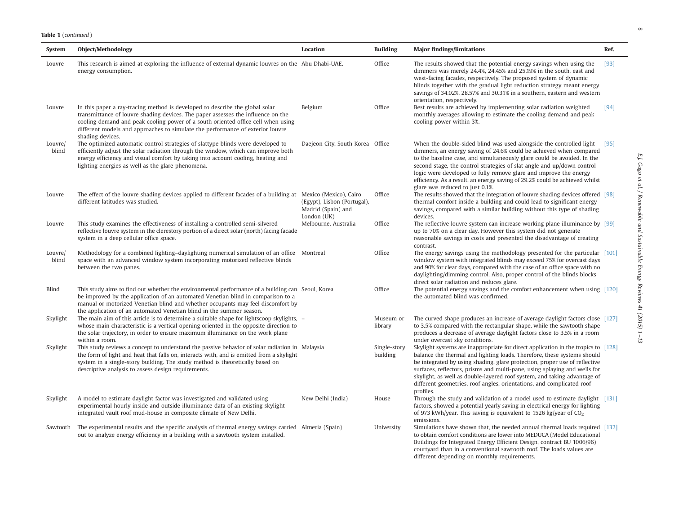| System           | Object/Methodology                                                                                                                                                                                                                                                                                                                                         | Location                                                         | <b>Building</b>          | <b>Major findings/limitations</b>                                                                                                                                                                                                                                                                                                                                                                                                                                                         | Ref.   |
|------------------|------------------------------------------------------------------------------------------------------------------------------------------------------------------------------------------------------------------------------------------------------------------------------------------------------------------------------------------------------------|------------------------------------------------------------------|--------------------------|-------------------------------------------------------------------------------------------------------------------------------------------------------------------------------------------------------------------------------------------------------------------------------------------------------------------------------------------------------------------------------------------------------------------------------------------------------------------------------------------|--------|
| Louvre           | This research is aimed at exploring the influence of external dynamic louvres on the Abu Dhabi-UAE.<br>energy consumption.                                                                                                                                                                                                                                 |                                                                  | Office                   | The results showed that the potential energy savings when using the<br>dimmers was merely 24.4%, 24.45% and 25.19% in the south, east and<br>west-facing facades, respectively. The proposed system of dynamic<br>blinds together with the gradual light reduction strategy meant energy<br>savings of 34.02%, 28.57% and 30.31% in a southern, eastern and western<br>orientation, respectively.                                                                                         | $[93]$ |
| Louvre           | In this paper a ray-tracing method is developed to describe the global solar<br>transmittance of louvre shading devices. The paper assesses the influence on the<br>cooling demand and peak cooling power of a south oriented office cell when using<br>different models and approaches to simulate the performance of exterior louvre<br>shading devices. | Belgium                                                          | Office                   | Best results are achieved by implementing solar radiation weighted<br>monthly averages allowing to estimate the cooling demand and peak<br>cooling power within 3%.                                                                                                                                                                                                                                                                                                                       | $[94]$ |
| Louvre/<br>blind | The optimized automatic control strategies of slattype blinds were developed to<br>efficiently adjust the solar radiation through the window, which can improve both<br>energy efficiency and visual comfort by taking into account cooling, heating and<br>lighting energies as well as the glare phenomena.                                              | Daejeon City, South Korea Office                                 |                          | When the double-sided blind was used alongside the controlled light<br>dimmers, an energy saving of 24.6% could be achieved when compared<br>to the baseline case, and simultaneously glare could be avoided. In the<br>second stage, the control strategies of slat angle and up/down control<br>logic were developed to fully remove glare and improve the energy<br>efficiency. As a result, an energy saving of 29.2% could be achieved whilst<br>glare was reduced to just 0.1%.     | $[95]$ |
| Louvre           | The effect of the louvre shading devices applied to different facades of a building at Mexico (Mexico), Cairo<br>different latitudes was studied.                                                                                                                                                                                                          | (Egypt), Lisbon (Portugal),<br>Madrid (Spain) and<br>London (UK) | Office                   | The results showed that the integration of louvre shading devices offered [98]<br>thermal comfort inside a building and could lead to significant energy<br>savings, compared with a similar building without this type of shading<br>devices.                                                                                                                                                                                                                                            |        |
| Louvre           | This study examines the effectiveness of installing a controlled semi-silvered<br>reflective louvre system in the clerestory portion of a direct solar (north) facing facade<br>system in a deep cellular office space.                                                                                                                                    | Melbourne, Australia                                             | Office                   | The reflective louvre system can increase working plane illuminance by [99]<br>up to 70% on a clear day. However this system did not generate<br>reasonable savings in costs and presented the disadvantage of creating<br>contrast.                                                                                                                                                                                                                                                      |        |
| Louvre/<br>blind | Methodology for a combined lighting-daylighting numerical simulation of an office Montreal<br>space with an advanced window system incorporating motorized reflective blinds<br>between the two panes.                                                                                                                                                     |                                                                  | Office                   | The energy savings using the methodology presented for the particular [101]<br>window system with integrated blinds may exceed 75% for overcast days<br>and 90% for clear days, compared with the case of an office space with no<br>daylighting/dimming control. Also, proper control of the blinds blocks<br>direct solar radiation and reduces glare.                                                                                                                                  |        |
| Blind            | This study aims to find out whether the environmental performance of a building can Seoul, Korea<br>be improved by the application of an automated Venetian blind in comparison to a<br>manual or motorized Venetian blind and whether occupants may feel discomfort by<br>the application of an automated Venetian blind in the summer season.            |                                                                  | Office                   | The potential energy savings and the comfort enhancement when using [120]<br>the automated blind was confirmed.                                                                                                                                                                                                                                                                                                                                                                           |        |
| Skylight         | The main aim of this article is to determine a suitable shape for lightscoop skylights, -<br>whose main characteristic is a vertical opening oriented in the opposite direction to<br>the solar trajectory, in order to ensure maximum illuminance on the work plane<br>within a room.                                                                     |                                                                  | Museum or<br>library     | The curved shape produces an increase of average daylight factors close [127]<br>to 3.5% compared with the rectangular shape, while the sawtooth shape<br>produces a decrease of average daylight factors close to 3.5% in a room<br>under overcast sky conditions.                                                                                                                                                                                                                       |        |
| Skylight         | This study reviews a concept to understand the passive behavior of solar radiation in Malaysia<br>the form of light and heat that falls on, interacts with, and is emitted from a skylight<br>system in a single-story building. The study method is theoretically based on<br>descriptive analysis to assess design requirements.                         |                                                                  | Single-story<br>building | Skylight systems are inappropriate for direct application in the tropics to [128]<br>balance the thermal and lighting loads. Therefore, these systems should<br>be integrated by using shading, glare protection, proper use of reflective<br>surfaces, reflectors, prisms and multi-pane, using splaying and wells for<br>skylight, as well as double-layered roof system, and taking advantage of<br>different geometries, roof angles, orientations, and complicated roof<br>profiles. |        |
| Skylight         | A model to estimate daylight factor was investigated and validated using<br>experimental hourly inside and outside illuminance data of an existing skylight<br>integrated vault roof mud-house in composite climate of New Delhi.                                                                                                                          | New Delhi (India)                                                | House                    | Through the study and validation of a model used to estimate daylight [131]<br>factors, showed a potential yearly saving in electrical energy for lighting<br>of 973 kWh/year. This saving is equivalent to 1526 kg/year of $CO2$<br>emissions.                                                                                                                                                                                                                                           |        |
| Sawtooth         | The experimental results and the specific analysis of thermal energy savings carried Almeria (Spain)<br>out to analyze energy efficiency in a building with a sawtooth system installed.                                                                                                                                                                   |                                                                  | University               | Simulations have shown that, the needed annual thermal loads required [132]<br>to obtain comfort conditions are lower into MEDUCA (Model Educational<br>Buildings for Integrated Energy Efficient Design, contract BU 1006/96)<br>courtyard than in a conventional sawtooth roof. The loads values are<br>different depending on monthly requirements.                                                                                                                                    |        |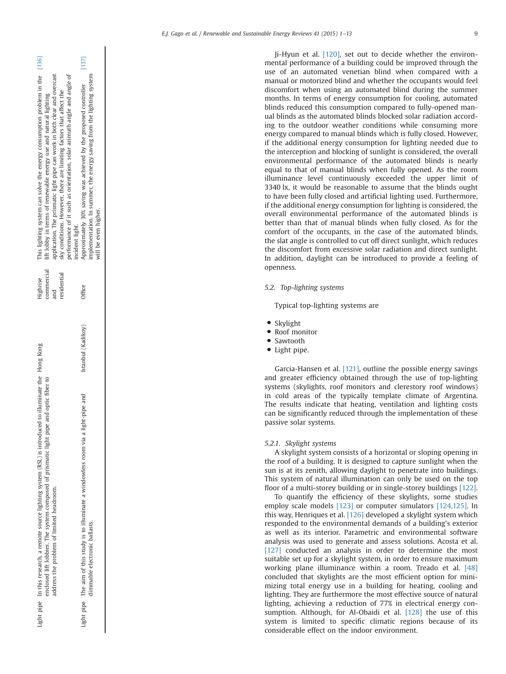| distriction<br><b>EXTER</b>                                                                                     | ommercial                                                                             | and                                           | antial<br>ESIGENCIAL |
|-----------------------------------------------------------------------------------------------------------------|---------------------------------------------------------------------------------------|-----------------------------------------------|----------------------|
| . otroduced to illuminate the Hong Kong<br><b>TAGE</b><br>į<br>ughting system "<br>In this researc <sup>+</sup> | anc light pipe ar-<br>hemating to pean<br>ha custam ri<br>lift lohhier Tl<br>anciocad | i<br>1.221177777777<br>address the problem of |                      |
| ht pipe I<br>ļ                                                                                                  |                                                                                       |                                               |                      |

This lighting system can solve the energy consumption problem in the lift lobby in terms of renewable energy use and natural lighting application. The prismatic light pipe can work in both clear and overcast sky conditions. However, there are limiting factors that affect the performance of it such as orientation, solar azimuth angle and angle of

application. The prismatic light pipe can work in both clear and overcast This lighting system can solve the energy consumption problem in the

sky conditions. However, there are limiting factors that affect the lift lobby in terms of renewable energy use and natural lighting

performance of it such as orientation, solar azimuth angle and angle of

[\[136\]](#page-12-0)

incident light.

Office

incident light.

implementation. In summer, the energy saving from the lighting system

Approximately 30% saving was achieved by the 1<br>implementation. In summer, the energy saving fi

from the lighting system

proposed controller

[\[137\]](#page-12-0)

will be even higher.

will be even higher.

Istanbul (Kadikoy) Office Approximately 30% saving was achieved by the proposed controller Istanbul (Kadikov) The aim of this study is to illuminate a windowless room via a light-pipe and Light pipe The aim of this study is to illuminate a windowless room via a light-pipe and dimmable electronic ballasts. dimmable electronic ballasts. ight pipe

Ji-Hyun et al. [\[120\],](#page-12-0) set out to decide whether the environmental performance of a building could be improved through the use of an automated venetian blind when compared with a manual or motorized blind and whether the occupants would feel discomfort when using an automated blind during the summer months. In terms of energy consumption for cooling, automated blinds reduced this consumption compared to fully-opened manual blinds as the automated blinds blocked solar radiation according to the outdoor weather conditions while consuming more energy compared to manual blinds which is fully closed. However, if the additional energy consumption for lighting needed due to the interception and blocking of sunlight is considered, the overall environmental performance of the automated blinds is nearly equal to that of manual blinds when fully opened. As the room illuminance level continuously exceeded the upper limit of 3340 lx, it would be reasonable to assume that the blinds ought to have been fully closed and artificial lighting used. Furthermore, if the additional energy consumption for lighting is considered, the overall environmental performance of the automated blinds is better than that of manual blinds when fully closed. As for the comfort of the occupants, in the case of the automated blinds, the slat angle is controlled to cut off direct sunlight, which reduces the discomfort from excessive solar radiation and direct sunlight. In addition, daylight can be introduced to provide a feeling of openness.

5.2. Top-lighting systems

Typical top-lighting systems are

- Skylight
- Roof monitor
- -Sawtooth
- Light pipe.

Garcia-Hansen et al. [\[121\],](#page-12-0) outline the possible energy savings and greater efficiency obtained through the use of top-lighting systems (skylights, roof monitors and clerestory roof windows) in cold areas of the typically template climate of Argentina. The results indicate that heating, ventilation and lighting costs can be significantly reduced through the implementation of these passive solar systems.

## 5.2.1. Skylight systems

A skylight system consists of a horizontal or sloping opening in the roof of a building. It is designed to capture sunlight when the sun is at its zenith, allowing daylight to penetrate into buildings. This system of natural illumination can only be used on the top floor of a multi-storey building or in single-storey buildings [\[122\].](#page-12-0)

To quantify the efficiency of these skylights, some studies employ scale models [\[123\]](#page-12-0) or computer simulators [\[124,125\].](#page-12-0) In this way, Henriques et al. [\[126\]](#page-12-0) developed a skylight system which responded to the environmental demands of a building's exterior as well as its interior. Parametric and environmental software analysis was used to generate and assess solutions. Acosta et al. [\[127\]](#page-12-0) conducted an analysis in order to determine the most suitable set up for a skylight system, in order to ensure maximum working plane illuminance within a room. Treado et al. [\[48\]](#page-11-0) concluded that skylights are the most efficient option for minimizing total energy use in a building for heating, cooling and lighting. They are furthermore the most effective source of natural lighting, achieving a reduction of 77% in electrical energy consumption. Although, for Al-Obaidi et al. [\[128\]](#page-12-0) the use of this system is limited to specific climatic regions because of its considerable effect on the indoor environment.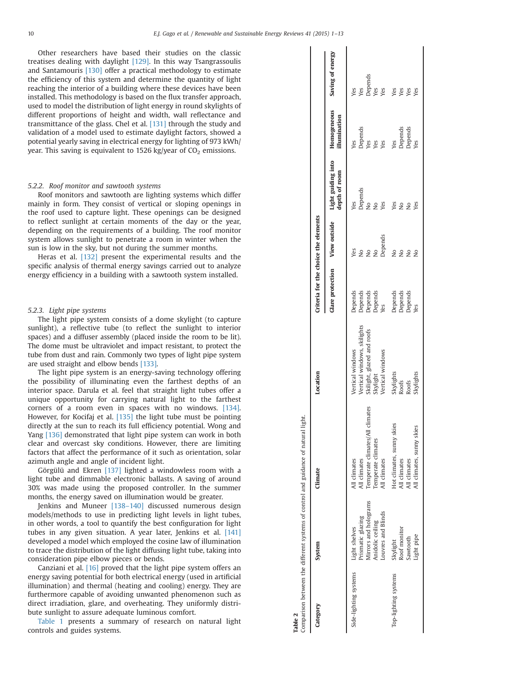<span id="page-9-0"></span>Other researchers have based their studies on the classic treatises dealing with daylight [\[129\]](#page-12-0). In this way Tsangrassoulis and Santamouris [\[130\]](#page-12-0) offer a practical methodology to estimate the efficiency of this system and determine the quantity of light reaching the interior of a building where these devices have been installed. This methodology is based on the flux transfer approach, used to model the distribution of light energy in round skylights of different proportions of height and width, wall reflectance and transmittance of the glass. Chel et al. [\[131\]](#page-12-0) through the study and validation of a model used to estimate daylight factors, showed a potential yearly saving in electrical energy for lighting of 973 kWh/ year. This saving is equivalent to 1526 kg/year of  $CO<sub>2</sub>$  emissions.

#### 5.2.2. Roof monitor and sawtooth systems

Roof monitors and sawtooth are lighting systems which differ mainly in form. They consist of vertical or sloping openings in the roof used to capture light. These openings can be designed to reflect sunlight at certain moments of the day or the year, depending on the requirements of a building. The roof monitor system allows sunlight to penetrate a room in winter when the sun is low in the sky, but not during the summer months.

Heras et al. [\[132\]](#page-12-0) present the experimental results and the specific analysis of thermal energy savings carried out to analyze energy efficiency in a building with a sawtooth system installed.

#### 5.2.3. Light pipe systems

The light pipe system consists of a dome skylight (to capture sunlight), a reflective tube (to reflect the sunlight to interior spaces) and a diffuser assembly (placed inside the room to be lit). The dome must be ultraviolet and impact resistant, to protect the tube from dust and rain. Commonly two types of light pipe system are used straight and elbow bends [\[133\]](#page-12-0).

The light pipe system is an energy-saving technology offering the possibility of illuminating even the farthest depths of an interior space. Darula et al. feel that straight light tubes offer a unique opportunity for carrying natural light to the farthest corners of a room even in spaces with no windows. [\[134\].](#page-12-0) However, for Kocifaj et al. [\[135\]](#page-12-0) the light tube must be pointing directly at the sun to reach its full efficiency potential. Wong and Yang [\[136\]](#page-12-0) demonstrated that light pipe system can work in both clear and overcast sky conditions. However, there are limiting factors that affect the performance of it such as orientation, solar azimuth angle and angle of incident light.

Görgülü and Ekren [\[137\]](#page-12-0) lighted a windowless room with a light tube and dimmable electronic ballasts. A saving of around 30% was made using the proposed controller. In the summer months, the energy saved on illumination would be greater.

Jenkins and Muneer [\[138](#page-12-0)–140] discussed numerous design models/methods to use in predicting light levels in light tubes, in other words, a tool to quantify the best configuration for light tubes in any given situation. A year later, Jenkins et al. [\[141\]](#page-12-0) developed a model which employed the cosine law of illumination to trace the distribution of the light diffusing light tube, taking into consideration pipe elbow pieces or bends.

Canziani et al. [\[16\]](#page-10-0) proved that the light pipe system offers an energy saving potential for both electrical energy (used in artificial illumination) and thermal (heating and cooling) energy. They are furthermore capable of avoiding unwanted phenomenon such as direct irradiation, glare, and overheating. They uniformly distribute sunlight to assure adequate luminous comfort.

[Table 1](#page-6-0) presents a summary of research on natural light controls and guides systems.

Table 2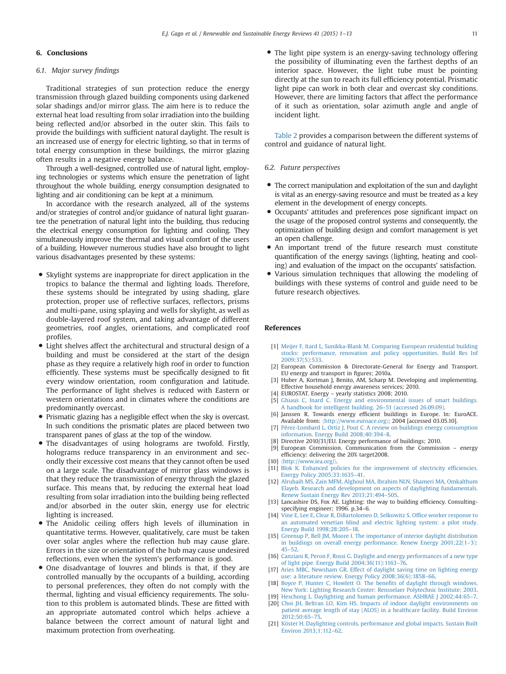## <span id="page-10-0"></span>6. Conclusions

#### 6.1. Major survey findings

Traditional strategies of sun protection reduce the energy transmission through glazed building components using darkened solar shadings and/or mirror glass. The aim here is to reduce the external heat load resulting from solar irradiation into the building being reflected and/or absorbed in the outer skin. This fails to provide the buildings with sufficient natural daylight. The result is an increased use of energy for electric lighting, so that in terms of total energy consumption in these buildings, the mirror glazing often results in a negative energy balance.

Through a well-designed, controlled use of natural light, employing technologies or systems which ensure the penetration of light throughout the whole building, energy consumption designated to lighting and air conditioning can be kept at a minimum.

In accordance with the research analyzed, all of the systems and/or strategies of control and/or guidance of natural light guarantee the penetration of natural light into the building, thus reducing the electrical energy consumption for lighting and cooling. They simultaneously improve the thermal and visual comfort of the users of a building. However numerous studies have also brought to light various disadvantages presented by these systems:

- Skylight systems are inappropriate for direct application in the tropics to balance the thermal and lighting loads. Therefore, these systems should be integrated by using shading, glare protection, proper use of reflective surfaces, reflectors, prisms and multi-pane, using splaying and wells for skylight, as well as double-layered roof system, and taking advantage of different geometries, roof angles, orientations, and complicated roof profiles.
- - Light shelves affect the architectural and structural design of a building and must be considered at the start of the design phase as they require a relatively high roof in order to function efficiently. These systems must be specifically designed to fit every window orientation, room configuration and latitude. The performance of light shelves is reduced with Eastern or western orientations and in climates where the conditions are predominantly overcast.
- $\bullet$  Prismatic glazing has a negligible effect when the sky is overcast. In such conditions the prismatic plates are placed between two transparent panes of glass at the top of the window.
- The disadvantages of using holograms are twofold. Firstly, holograms reduce transparency in an environment and secondly their excessive cost means that they cannot often be used on a large scale. The disadvantage of mirror glass windows is that they reduce the transmission of energy through the glazed surface. This means that, by reducing the external heat load resulting from solar irradiation into the building being reflected and/or absorbed in the outer skin, energy use for electric lighting is increased.
- - The Anidolic ceiling offers high levels of illumination in quantitative terms. However, qualitatively, care must be taken over solar angles where the reflection hub may cause glare. Errors in the size or orientation of the hub may cause undesired reflections, even when the system's performance is good.
- - One disadvantage of louvres and blinds is that, if they are controlled manually by the occupants of a building, according to personal preferences, they often do not comply with the thermal, lighting and visual efficiency requirements. The solution to this problem is automated blinds. These are fitted with an appropriate automated control which helps achieve a balance between the correct amount of natural light and maximum protection from overheating.

• The light pipe system is an energy-saving technology offering the possibility of illuminating even the farthest depths of an interior space. However, the light tube must be pointing directly at the sun to reach its full efficiency potential. Prismatic light pipe can work in both clear and overcast sky conditions. However, there are limiting factors that affect the performance of it such as orientation, solar azimuth angle and angle of incident light.

[Table 2](#page-9-0) provides a comparison between the different systems of control and guidance of natural light.

#### 6.2. Future perspectives

- The correct manipulation and exploitation of the sun and daylight is vital as an energy-saving resource and must be treated as a key element in the development of energy concepts.
- Occupants' attitudes and preferences pose significant impact on the usage of the proposed control systems and consequently, the optimization of building design and comfort management is yet an open challenge.
- An important trend of the future research must constitute quantification of the energy savings (lighting, heating and cooling) and evaluation of the impact on the occupants' satisfaction.
- Various simulation techniques that allowing the modeling of buildings with these systems of control and guide need to be future research objectives.

#### References

- [1] [Meijer F, Itard L, Sunikka-Blank M. Comparing European residential building](http://refhub.elsevier.com/S1364-0321(14)00677-7/sbref1) [stocks: performance, renovation and policy opportunities. Build Res Inf](http://refhub.elsevier.com/S1364-0321(14)00677-7/sbref1) [2009;37\(5\):533.](http://refhub.elsevier.com/S1364-0321(14)00677-7/sbref1)
- [2] European Commission & Directorate-General for Energy and Transport. EU energy and transport in figures; 2010a.
- [3] Huber A, Kortman J, Benito, AM, Scharp M. Developing and implementing. Effective household energy awareness services; 2010.
- 
- [4] EUROSTAT. Energy yearly statistics 2008; 2010. [5] [Ghiaus C, Inard C. Energy and environmental issues of smart buildings.](http://refhub.elsevier.com/S1364-0321(14)00677-7/sbref2) [A handbook for intelligent building. 26](http://refhub.elsevier.com/S1364-0321(14)00677-7/sbref2)–51 (accessed 26.09.09).
- [6] Janssen R. Towards energy efficient buildings in Europe. In: EuroACE. Available from: 〈<http://www.euroace.org>〉; 2004 [accessed 03.05.10].
- [7] [Pérez-Lombard L, Ortiz J, Pout C. A review on buildings energy consumption](http://refhub.elsevier.com/S1364-0321(14)00677-7/sbref3) [information. Energy Build 2008;40:394](http://refhub.elsevier.com/S1364-0321(14)00677-7/sbref3)–8.
- [8] Directive 2010/31/EU. Energy performance of buildings; 2010.
- [9] European Commission. Communication from the Commission energy efficiency: delivering the 20% target2008.
- [10] 〈<http://www.iea.org/>
- [11] [Blok K. Enhanced policies for the improvement of electricity ef](http://refhub.elsevier.com/S1364-0321(14)00677-7/sbref5)ficiencies. [Energy Policy 2005;33:1635](http://refhub.elsevier.com/S1364-0321(14)00677-7/sbref5)–41.
- [12] [Alrubaih MS, Zain MFM, Alghoul MA, Ibrahim NLN, Shameri MA, Omkalthum](http://refhub.elsevier.com/S1364-0321(14)00677-7/sbref6) [Elayeb. Research and development on aspects of daylighting fundamentals.](http://refhub.elsevier.com/S1364-0321(14)00677-7/sbref6) [Renew Sustain Energy Rev 2013;21:494](http://refhub.elsevier.com/S1364-0321(14)00677-7/sbref6)–505.
- [13] Lancashire DS, Fox AE. Lighting: the way to building efficiency. Consultingspecifying engineer; 1996. p.34–6.
- [14] [Vine E, Lee E, Clear R, DiBartolomeo D, Selkowitz S. Of](http://refhub.elsevier.com/S1364-0321(14)00677-7/sbref7)fice worker response to [an automated venetian blind and electric lighting system: a pilot study.](http://refhub.elsevier.com/S1364-0321(14)00677-7/sbref7) [Energy Build 1998;28:205](http://refhub.elsevier.com/S1364-0321(14)00677-7/sbref7)–18.
- [15] [Greenup P, Bell JM, Moore I. The importance of interior daylight distribution](http://refhub.elsevier.com/S1364-0321(14)00677-7/sbref8) [in buildings on overall energy performance. Renew Energy 2001;22\(1](http://refhub.elsevier.com/S1364-0321(14)00677-7/sbref8)–3): 45–[52.](http://refhub.elsevier.com/S1364-0321(14)00677-7/sbref8)
- [16] [Canziani R, Peron F, Rossi G. Daylight and energy performances of a new type](http://refhub.elsevier.com/S1364-0321(14)00677-7/sbref9) [of light pipe. Energy Build 2004;36\(11\):1163](http://refhub.elsevier.com/S1364-0321(14)00677-7/sbref9)–76.
- [17] [Aries MBC, Newsham GR. Effect of daylight saving time on lighting energy](http://refhub.elsevier.com/S1364-0321(14)00677-7/sbref10) [use: a literature review. Energy Policy 2008;36\(6\):1858](http://refhub.elsevier.com/S1364-0321(14)00677-7/sbref10)–66.
- [18] [Boyce P, Hunter C, Howlett O. The bene](http://refhub.elsevier.com/S1364-0321(14)00677-7/sbref11)fits of daylight through windows. [New York: Lighting Research Center: Rensselaer Polytechnic Institute; 2003.](http://refhub.elsevier.com/S1364-0321(14)00677-7/sbref11)
- [19] [Heschong L. Daylighting and human performance. ASHRAE J 2002;44:65](http://refhub.elsevier.com/S1364-0321(14)00677-7/sbref12)–7. [20] [Choi JH, Beltran LO, Kim HS. Impacts of indoor daylight environments on](http://refhub.elsevier.com/S1364-0321(14)00677-7/sbref13)
- [patient average length of stay \(ALOS\) in a healthcare facility. Build Environ](http://refhub.elsevier.com/S1364-0321(14)00677-7/sbref13) [2012;50:65](http://refhub.elsevier.com/S1364-0321(14)00677-7/sbref13)–75.
- [21] [Köster H. Daylighting controls, performance and global impacts. Sustain Built](http://refhub.elsevier.com/S1364-0321(14)00677-7/sbref14) [Environ 2013;1:112](http://refhub.elsevier.com/S1364-0321(14)00677-7/sbref14)–62.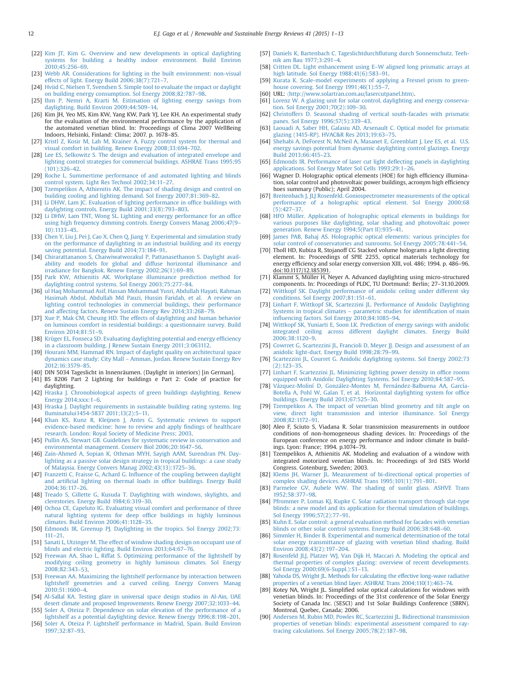- <span id="page-11-0"></span>[22] [Kim JT, Kim G. Overview and new developments in optical daylighting](http://refhub.elsevier.com/S1364-0321(14)00677-7/sbref15) [systems for building a healthy indoor environment. Build Environ](http://refhub.elsevier.com/S1364-0321(14)00677-7/sbref15) [2010;45:256](http://refhub.elsevier.com/S1364-0321(14)00677-7/sbref15)–69.
- [23] [Webb AR. Considerations for lighting in the built environment: non-visual](http://refhub.elsevier.com/S1364-0321(14)00677-7/sbref16) [effects of light. Energy Build 2006;38\(7\):721](http://refhub.elsevier.com/S1364-0321(14)00677-7/sbref16)–7.
- [24] [Hviid C, Nielsen T, Svendsen S. Simple tool to evaluate the impact or daylight](http://refhub.elsevier.com/S1364-0321(14)00677-7/sbref17) [on building energy consumption. Sol Energy 2008;82:787](http://refhub.elsevier.com/S1364-0321(14)00677-7/sbref17)–98.
- [25] [Ihm P, Nemri A, Krarti M. Estimation of lighting energy savings from](http://refhub.elsevier.com/S1364-0321(14)00677-7/sbref18) [daylighting. Build Environ 2009;44:509](http://refhub.elsevier.com/S1364-0321(14)00677-7/sbref18)–14.
- [26] Kim JH, Yeo MS, Kim KW, Yang KW, Park YJ, Lee KH. An experimental study for the evaluation of the environmental performance by the application of the automated venetian blind. In: Proceedings of Clima 2007 WellBeing Indoors, Helsinki, Finland: Clima; 2007. p. 1678–85.
- [27] [Kristl Z, Kosir M, Lah M, Krainer A. Fuzzy control system for thermal and](http://refhub.elsevier.com/S1364-0321(14)00677-7/sbref19) [visual comfort in building. Renew Energy 2008;33:694](http://refhub.elsevier.com/S1364-0321(14)00677-7/sbref19)–702.
- [28] [Lee ES, Selkowitz S. The design and evaluation of integrated envelope and](http://refhub.elsevier.com/S1364-0321(14)00677-7/sbref20) [lighting control strategies for commercial buildings. ASHRAE Trans 1995;95](http://refhub.elsevier.com/S1364-0321(14)00677-7/sbref20)  $(101):326-42.$  $(101):326-42.$
- [29] [Roche L. Summertime performance of and automated lighting and blinds](http://refhub.elsevier.com/S1364-0321(14)00677-7/sbref21) [control system. Light Res Technol 2002;34:11](http://refhub.elsevier.com/S1364-0321(14)00677-7/sbref21)–27.
- [30] [Tzempelikos A, Athienitis AK. The impact of shading design and control on](http://refhub.elsevier.com/S1364-0321(14)00677-7/sbref22) [building cooling and lighting demand. Sol Energy 2007;81:369](http://refhub.elsevier.com/S1364-0321(14)00677-7/sbref22)–82.
- [31] [Li DHW, Lam JC. Evaluation of lighting performance in of](http://refhub.elsevier.com/S1364-0321(14)00677-7/sbref23)fice buildings with [daylighting controls. Energy Build 2001;33\(8\):793](http://refhub.elsevier.com/S1364-0321(14)00677-7/sbref23)–803.
- [32] [Li DHW, Lam TNT, Wong SL. Lighting and energy performance for an of](http://refhub.elsevier.com/S1364-0321(14)00677-7/sbref24)fice [using high frequency dimming controls. Energy Convers Manag 2006;47\(9](http://refhub.elsevier.com/S1364-0321(14)00677-7/sbref24)– [10\):1133](http://refhub.elsevier.com/S1364-0321(14)00677-7/sbref24)–45.
- [33] [Chen Y, Liu J, Pei J, Cao X, Chen Q, Jiang Y. Experimental and simulation study](http://refhub.elsevier.com/S1364-0321(14)00677-7/sbref25) [on the performance of daylighting in an industrial building and its energy](http://refhub.elsevier.com/S1364-0321(14)00677-7/sbref25) [saving potential. Energy Build 2014;73:184](http://refhub.elsevier.com/S1364-0321(14)00677-7/sbref25)–91.
- [34] [Chirarattananon S, Chaiwiwatworakul P, Pattanasethanon S. Daylight avail](http://refhub.elsevier.com/S1364-0321(14)00677-7/sbref26)[ability and models for global and diffuse horizontal illuminance and](http://refhub.elsevier.com/S1364-0321(14)00677-7/sbref26) [irradiance for Bangkok. Renew Energy 2002;26\(1\):69](http://refhub.elsevier.com/S1364-0321(14)00677-7/sbref26)–89.
- [35] [Park KW, Athienitis AK. Workplane illuminance prediction method for](http://refhub.elsevier.com/S1364-0321(14)00677-7/sbref27) [daylighting control systems. Sol Energy 2003;75:277](http://refhub.elsevier.com/S1364-0321(14)00677-7/sbref27)–84.
- [36] [ul Haq Mohammad Asif, Hassan Mohammad Yusri, Abdullah Hayati, Rahman](http://refhub.elsevier.com/S1364-0321(14)00677-7/sbref28) [Hasimah Abdul, Abdullah Md Pauzi, Hussin Faridah, et al. A review on](http://refhub.elsevier.com/S1364-0321(14)00677-7/sbref28) [lighting control technologies in commercial buildings, their performance](http://refhub.elsevier.com/S1364-0321(14)00677-7/sbref28) [and affecting factors. Renew Sustain Energy Rev 2014;33:268](http://refhub.elsevier.com/S1364-0321(14)00677-7/sbref28)–79.
- [37] [Xue P, Mak CM, Cheung HD. The effects of daylighting and human behavior](http://refhub.elsevier.com/S1364-0321(14)00677-7/sbref29) [on luminous comfort in residential buildings: a questionnaire survey. Build](http://refhub.elsevier.com/S1364-0321(14)00677-7/sbref29) [Environ 2014;81:51](http://refhub.elsevier.com/S1364-0321(14)00677-7/sbref29)–9.
- [38] [Krüger EL, Fonseca SD. Evaluating daylighting potential and energy ef](http://refhub.elsevier.com/S1364-0321(14)00677-7/sbref30)ficiency [in a classroom building. J Renew Sustain Energy 2011;3:063112.](http://refhub.elsevier.com/S1364-0321(14)00677-7/sbref30)
- [39] [Hourani MM, Hammad RN. Impact of daylight quality on architectural space](http://refhub.elsevier.com/S1364-0321(14)00677-7/sbref31) dynamics case study: City Mall – [Amman, Jordan. Renew Sustain Energy Rev](http://refhub.elsevier.com/S1364-0321(14)00677-7/sbref31) [2012;16:3579](http://refhub.elsevier.com/S1364-0321(14)00677-7/sbref31)–85.
- [40] DIN 5034 Tageslicht in Innenräumen. (Daylight in interiors) [in German].
- [41] BS 8206 Part 2 Lighting for buildings e Part 2: Code of practice for daylighting.
- [42] [Hraska J. Chronobiological aspects of green buildings daylighting. Renew](http://refhub.elsevier.com/S1364-0321(14)00677-7/sbref32) [Energy 2014;xxx:1](http://refhub.elsevier.com/S1364-0321(14)00677-7/sbref32)–6.
- [43] [Hraska J. Daylight requirements in sustainable building rating systems. Ing](http://refhub.elsevier.com/S1364-0321(14)00677-7/sbref33) [Iluminatului1454-5837 2011;13\(2\):5](http://refhub.elsevier.com/S1364-0321(14)00677-7/sbref33)–11.
- [44] [Khan KS, Kunz R, Kleijnen J, Antes G. Systematic reviews to support](http://refhub.elsevier.com/S1364-0321(14)00677-7/sbref34) [evidence-based medicine: how to review and apply](http://refhub.elsevier.com/S1364-0321(14)00677-7/sbref34) findings of healthcare [research. London: Royal Society of Medicine Press; 2003.](http://refhub.elsevier.com/S1364-0321(14)00677-7/sbref34)
- [45] [Pullin AS, Stewart GB. Guidelines for systematic review in conservation and](http://refhub.elsevier.com/S1364-0321(14)00677-7/sbref35) [environmental management. Conserv Biol 2006;20:1647](http://refhub.elsevier.com/S1364-0321(14)00677-7/sbref35)–56.
- [46] [Zain-Ahmed A, Sopian K, Othman MYH, Sayigh AAM, Surendran PN. Day](http://refhub.elsevier.com/S1364-0321(14)00677-7/sbref36)[lighting as a passive solar design strategy in tropical buildings: a case study](http://refhub.elsevier.com/S1364-0321(14)00677-7/sbref36) [of Malaysia. Energy Convers Manag 2002;43\(13\):1725](http://refhub.elsevier.com/S1364-0321(14)00677-7/sbref36)–36.
- [47] Franzetti C, Fraisse G, Achard G. Infl[uence of the coupling between daylight](http://refhub.elsevier.com/S1364-0321(14)00677-7/sbref37) and artifi[cial lighting on thermal loads in of](http://refhub.elsevier.com/S1364-0321(14)00677-7/sbref37)fice buildings. Energy Build [2004;36:117](http://refhub.elsevier.com/S1364-0321(14)00677-7/sbref37)–26.
- [48] [Treado S, Gillette G, Kusuda T. Daylighting with windows, skylights, and](http://refhub.elsevier.com/S1364-0321(14)00677-7/sbref38) [clerestories. Energy Build 1984;6:319](http://refhub.elsevier.com/S1364-0321(14)00677-7/sbref38)–30.
- [49] [Ochoa CE, Capeluto IG. Evaluating visual comfort and performance of three](http://refhub.elsevier.com/S1364-0321(14)00677-7/sbref39) [natural lighting systems for deep of](http://refhub.elsevier.com/S1364-0321(14)00677-7/sbref39)fice buildings in highly luminous [climates. Build Environ 2006;41:1128](http://refhub.elsevier.com/S1364-0321(14)00677-7/sbref39)–35.
- [50] [Edmonds IR, Greenup PJ. Daylighting in the tropics. Sol Energy 2002;73:](http://refhub.elsevier.com/S1364-0321(14)00677-7/sbref40) [111](http://refhub.elsevier.com/S1364-0321(14)00677-7/sbref40)–21.
- [51] [Sanati L, Utzinger M. The effect of window shading design on occupant use of](http://refhub.elsevier.com/S1364-0321(14)00677-7/sbref41) [blinds and electric lighting. Build Environ 2013;64:67](http://refhub.elsevier.com/S1364-0321(14)00677-7/sbref41)–76.
- [52] [Freewan AA, Shao L, Riffat S. Optimizing performance of the lightshelf by](http://refhub.elsevier.com/S1364-0321(14)00677-7/sbref42) [modifying ceiling geometry in highly luminous climates. Sol Energy](http://refhub.elsevier.com/S1364-0321(14)00677-7/sbref42) [2008;82:343](http://refhub.elsevier.com/S1364-0321(14)00677-7/sbref42)–53.
- [53] [Freewan AA. Maximizing the lightshelf performance by interaction between](http://refhub.elsevier.com/S1364-0321(14)00677-7/sbref43) [lightshelf geometries and a curved ceiling. Energy Convers Manag](http://refhub.elsevier.com/S1364-0321(14)00677-7/sbref43) [2010;51:1600](http://refhub.elsevier.com/S1364-0321(14)00677-7/sbref43)–4.
- [54] [Al-Sallal KA. Testing glare in universal space design studios in Al-Ain, UAE](http://refhub.elsevier.com/S1364-0321(14)00677-7/sbref44) [desert climate and proposed Improvements. Renew Energy 2007;32:1033](http://refhub.elsevier.com/S1364-0321(14)00677-7/sbref44)–44.
- [55] [Soler A, Oteiza P. Dependence on solar elevation of the performance of a](http://refhub.elsevier.com/S1364-0321(14)00677-7/sbref45) [lightshelf as a potential daylighting device. Renew Energy 1996;8:198](http://refhub.elsevier.com/S1364-0321(14)00677-7/sbref45)–201.
- [56] [Soler A, Oteiza P. Lightshelf performance in Madrid, Spain. Build Environ](http://refhub.elsevier.com/S1364-0321(14)00677-7/sbref46) [1997;32:87](http://refhub.elsevier.com/S1364-0321(14)00677-7/sbref46)–93.
- [57] [Daniels K, Bartenbach C. Tageslichtdurch](http://refhub.elsevier.com/S1364-0321(14)00677-7/sbref47)flutung durch Sonnenschutz. Teeh[nik am Bau 1977;3:291](http://refhub.elsevier.com/S1364-0321(14)00677-7/sbref47)–4.
- [58] [Critten DL. Light enhancement using E](http://refhub.elsevier.com/S1364-0321(14)00677-7/sbref48)–W aligned long prismatic arrays at [high latitude. Sol Energy 1988;41\(6\):583](http://refhub.elsevier.com/S1364-0321(14)00677-7/sbref48)–91.
- [59] [Kurata K. Scale-model experiments of applying a Fresnel prism to green](http://refhub.elsevier.com/S1364-0321(14)00677-7/sbref49)[house covering. Sol Energy 1991;46\(1\):55](http://refhub.elsevier.com/S1364-0321(14)00677-7/sbref49)–7.
- [60] URL: 〈<http://www.solartran.com.au/lasercutpanel.htm>〉.
- [61] [Lorenz W. A glazing unit for solar control, daylighting and energy conserva](http://refhub.elsevier.com/S1364-0321(14)00677-7/sbref50)[tion. Sol Energy 2001;70\(2\):109](http://refhub.elsevier.com/S1364-0321(14)00677-7/sbref50)–30.
- [62] [Christoffers D. Seasonal shading of vertical south-facades with prismatic](http://refhub.elsevier.com/S1364-0321(14)00677-7/sbref51) [panes. Sol Energy 1996;57\(5\):339](http://refhub.elsevier.com/S1364-0321(14)00677-7/sbref51)–43.
- [63] [Laouadi A, Saber HH, Galasiu AD, Arsenault C. Optical model for prismatic](http://refhub.elsevier.com/S1364-0321(14)00677-7/sbref52) [glazing \(1415-RP\). HVAC](http://refhub.elsevier.com/S1364-0321(14)00677-7/sbref52)&[R Res 2013;19:63](http://refhub.elsevier.com/S1364-0321(14)00677-7/sbref52)–75.
- [64] [Shehabi A, DeForest N, McNeil A, Masanet E, Greenblatt J, Lee ES, et al. U.S.](http://refhub.elsevier.com/S1364-0321(14)00677-7/sbref53) [energy savings potential from dynamic daylighting control glazings. Energy](http://refhub.elsevier.com/S1364-0321(14)00677-7/sbref53) [Build 2013;66:415](http://refhub.elsevier.com/S1364-0321(14)00677-7/sbref53)–23.
- [65] [Edmonds IR. Performance of laser cut light de](http://refhub.elsevier.com/S1364-0321(14)00677-7/sbref54)flecting panels in daylighting [applications. Sol Energy Mater Sol Cells 1993;29:1](http://refhub.elsevier.com/S1364-0321(14)00677-7/sbref54)–26.
- [66] Wagner D. Holographic optical elements (HOE) for high efficiency illumination, solar control and photovoltaic power buildings, acronym high efficiency hoes summary (Public); April 2004.
- [67] [Breitenbach J, JLJ Rosenfeld. Goniospectrometer measurements of the optical](http://refhub.elsevier.com/S1364-0321(14)00677-7/sbref55) [performance of a holographic optical element. Sol Energy 2000;68](http://refhub.elsevier.com/S1364-0321(14)00677-7/sbref55)  $(5)$ :427–37.
- [68] [HFO Müller. Application of holographic optical elements in buildings for](http://refhub.elsevier.com/S1364-0321(14)00677-7/sbref56) [various purposes like daylighting, solar shading and photovoltaic power](http://refhub.elsevier.com/S1364-0321(14)00677-7/sbref56) [generation. Renew Energy 1994;5\(Part II\):935](http://refhub.elsevier.com/S1364-0321(14)00677-7/sbref56)–41.
- [69] [James PAB, Bahaj AS. Holographic optical elements: various principles for](http://refhub.elsevier.com/S1364-0321(14)00677-7/sbref57) [solar control of conservatories and sunrooms. Sol Energy 2005;78:441](http://refhub.elsevier.com/S1364-0321(14)00677-7/sbref57)–54.
- [70] Tholl HD, Kubiza R, Stojanoff CG Stacked volume holograms a light directing element. In: Proceedings of SPIE 2255, optical materials technology for energy efficiency and solar energy conversion XIII, vol. 486; 1994. p. 486–96. doi:10.1117/12.185391.
- [71] Klammt S, Müller H, Neyer A. Advanced daylighting using micro-structured components. In: Proceedings of PLDC, TU Dortmund: Berlin; 27–31.10.2009.
- [72] [Wittkopf SK. Daylight performance of anidolic ceiling under different sky](http://refhub.elsevier.com/S1364-0321(14)00677-7/sbref58) [conditions. Sol Energy 2007;81:151](http://refhub.elsevier.com/S1364-0321(14)00677-7/sbref58)–61.
- [73] [Linhart F, Wittkopf SK, Scartezzini JL. Performance of Anidolic Daylighting](http://refhub.elsevier.com/S1364-0321(14)00677-7/sbref59) Systems in tropical climates – [parametric studies for identi](http://refhub.elsevier.com/S1364-0321(14)00677-7/sbref59)fication of main infl[uencing factors. Sol Energy 2010;84:1085](http://refhub.elsevier.com/S1364-0321(14)00677-7/sbref59)–94.
- [74] [Wittkopf SK, Yuniarti E, Soon LK. Prediction of energy savings with anidolic](http://refhub.elsevier.com/S1364-0321(14)00677-7/sbref60) [integrated ceiling across different daylight climates. Energy Build](http://refhub.elsevier.com/S1364-0321(14)00677-7/sbref60) [2006;38:1120](http://refhub.elsevier.com/S1364-0321(14)00677-7/sbref60)–9.
- [75] [Cowrret G, Scartezzini JL, Francioli D, Meyer JJ. Design and assessment of an](http://refhub.elsevier.com/S1364-0321(14)00677-7/sbref61) [anidolic light-duct. Energy Build 1998;28:79](http://refhub.elsevier.com/S1364-0321(14)00677-7/sbref61)–99.
- [76] [Scartezzini JL, Courret G. Anidolic daylighting systems. Sol Energy 2002;73](http://refhub.elsevier.com/S1364-0321(14)00677-7/sbref62) [\(2\):123](http://refhub.elsevier.com/S1364-0321(14)00677-7/sbref62)–35.
- [77] [Linhart F, Scartezzini JL. Minimizing lighting power density in of](http://refhub.elsevier.com/S1364-0321(14)00677-7/sbref63)fice rooms [equipped with Anidolic Daylighting Systems. Sol Energy 2010;84:587](http://refhub.elsevier.com/S1364-0321(14)00677-7/sbref63)–95.
- [78] [Vázquez-Moliní D, González-Montes M, Fernández-Balbuena AA, García-](http://refhub.elsevier.com/S1364-0321(14)00677-7/sbref64)[Botella A, Pohl W, Galan T, et al. Horizontal daylighting system for of](http://refhub.elsevier.com/S1364-0321(14)00677-7/sbref64)fice [buildings. Energy Build 2013;67:525](http://refhub.elsevier.com/S1364-0321(14)00677-7/sbref64)–30.
- [79] [Tzempelikos A. The impact of venetian blind geometry and tilt angle on](http://refhub.elsevier.com/S1364-0321(14)00677-7/sbref65) [view, direct light transmission and interior illuminance. Sol Energy](http://refhub.elsevier.com/S1364-0321(14)00677-7/sbref65) [2008;82:1172](http://refhub.elsevier.com/S1364-0321(14)00677-7/sbref65)–91.
- [80] Aleo F, Sciuto S, Viadana R. Solar transmission measurements in outdoor conditions of non-homogeneous shading devices. In: Proceedings of the European conference on energy performance and indoor climate in buildings. Lyon: France; 1994. p.1074–79.
- [81] Tzempelikos A, Athienitis AK. Modeling and evaluation of a window with integrated motorized venetian blinds. In: Proceedings of 3rd ISES World Congress. Gotenburg, Sweden; 2003.
- [82] [Klems JH, Warner JL. Measurement of bi-directional optical properties of](http://refhub.elsevier.com/S1364-0321(14)00677-7/sbref66) [complex shading devices. ASHRAE Trans 1995;101\(1\):791](http://refhub.elsevier.com/S1364-0321(14)00677-7/sbref66)–801.
- [83] [Parmelee GV, Aubele WW. The shading of sunlit glass. ASHVE Trans](http://refhub.elsevier.com/S1364-0321(14)00677-7/sbref67) [1952;58:377](http://refhub.elsevier.com/S1364-0321(14)00677-7/sbref67)–98.
- [84] [Pfrommer P, Lomas KJ, Kupke C. Solar radiation transport through slat-type](http://refhub.elsevier.com/S1364-0321(14)00677-7/sbref68) [blinds: a new model and its application for thermal simulation of buildings.](http://refhub.elsevier.com/S1364-0321(14)00677-7/sbref68) [Sol Energy 1996;57\(2\):77](http://refhub.elsevier.com/S1364-0321(14)00677-7/sbref68)–91.
- [85] [Kuhn E. Solar control: a general evaluation method for facades with venetian](http://refhub.elsevier.com/S1364-0321(14)00677-7/sbref69) [blinds or other solar control systems. Energy Build 2006;38:648](http://refhub.elsevier.com/S1364-0321(14)00677-7/sbref69)–60.
- [86] [Simmler H, Binder B. Experimental and numerical determination of the total](http://refhub.elsevier.com/S1364-0321(14)00677-7/sbref70) [solar energy transmittance of glazing with venetian blind shading. Build](http://refhub.elsevier.com/S1364-0321(14)00677-7/sbref70) [Environ 2008;43\(2\):197](http://refhub.elsevier.com/S1364-0321(14)00677-7/sbref70)–204.
- [87] [Rosenfeld JLJ, Platzer WJ, Van Dijk H, Maccari A. Modeling the optical and](http://refhub.elsevier.com/S1364-0321(14)00677-7/sbref71) [thermal properties of complex glazing: overview of recent developments.](http://refhub.elsevier.com/S1364-0321(14)00677-7/sbref71) [Sol Energy 2000;69\(6-Suppl.\):S1](http://refhub.elsevier.com/S1364-0321(14)00677-7/sbref71)–13.
- [88] [Yahoda DS, Wright JL. Methods for calculating the effective long-wave radiative](http://refhub.elsevier.com/S1364-0321(14)00677-7/sbref72) [properties of a venetian blind layer. ASHRAE Trans 2004;110\(1\):463](http://refhub.elsevier.com/S1364-0321(14)00677-7/sbref72)–74.
- [89] Kotey NA, Wright JL. Simplified solar optical calculations for windows with venetian blinds. In: Proceedings of the 31st conference of the Solar Energy Society of Canada Inc. (SESCI) and 1st Solar Buildings Conference (SBRN). Montreal, Quebec, Canada; 2006.
- [90] [Andersen M, Rubin MD, Powles RC, Scartezzini JL. Bidirectional transmission](http://refhub.elsevier.com/S1364-0321(14)00677-7/sbref73) [properties of venetian blinds: experimental assessment compared to ray](http://refhub.elsevier.com/S1364-0321(14)00677-7/sbref73)[tracing calculations. Sol Energy 2005;78\(2\):187](http://refhub.elsevier.com/S1364-0321(14)00677-7/sbref73)–98.